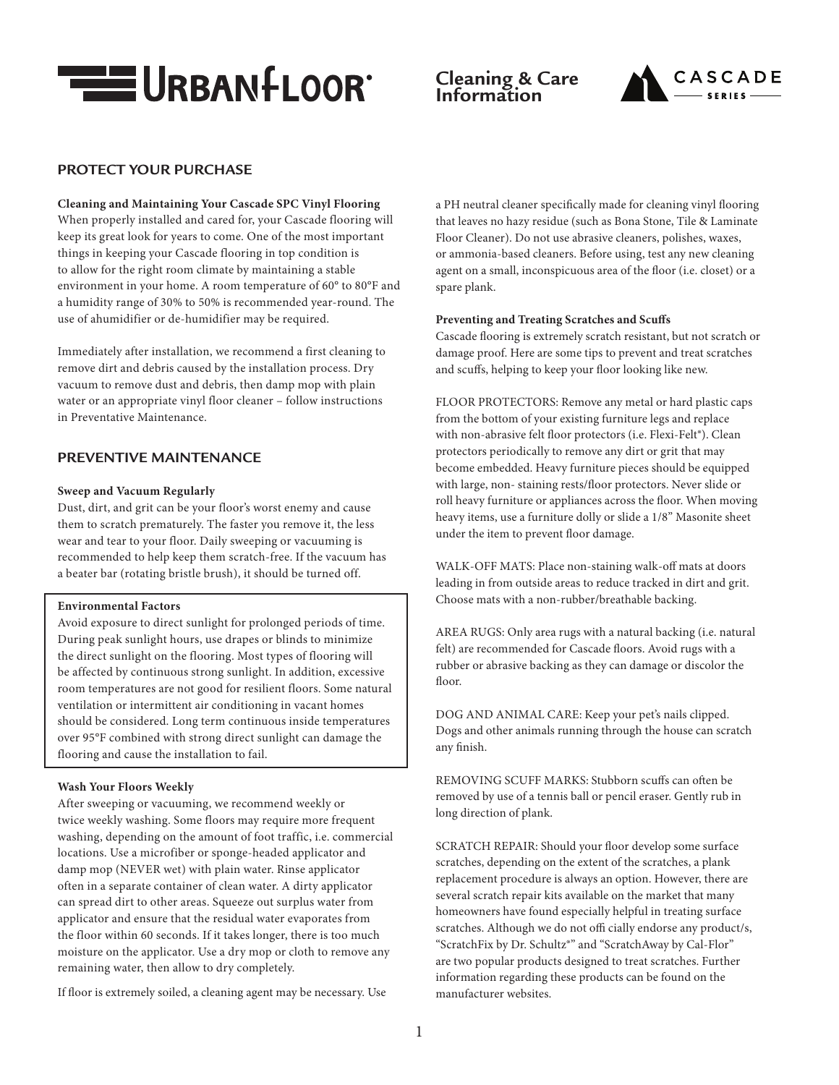

# **Cleaning & Care Information**



# **PROTECT YOUR PURCHASE**

### **Cleaning and Maintaining Your Cascade SPC Vinyl Flooring**

When properly installed and cared for, your Cascade flooring will keep its great look for years to come. One of the most important things in keeping your Cascade flooring in top condition is to allow for the right room climate by maintaining a stable environment in your home. A room temperature of 60° to 80°F and a humidity range of 30% to 50% is recommended year-round. The use of ahumidifier or de-humidifier may be required.

Immediately after installation, we recommend a first cleaning to remove dirt and debris caused by the installation process. Dry vacuum to remove dust and debris, then damp mop with plain water or an appropriate vinyl floor cleaner – follow instructions in Preventative Maintenance.

# **PREVENTIVE MAINTENANCE**

#### **Sweep and Vacuum Regularly**

Dust, dirt, and grit can be your floor's worst enemy and cause them to scratch prematurely. The faster you remove it, the less wear and tear to your floor. Daily sweeping or vacuuming is recommended to help keep them scratch-free. If the vacuum has a beater bar (rotating bristle brush), it should be turned off.

#### **Environmental Factors**

Avoid exposure to direct sunlight for prolonged periods of time. During peak sunlight hours, use drapes or blinds to minimize the direct sunlight on the flooring. Most types of flooring will be affected by continuous strong sunlight. In addition, excessive room temperatures are not good for resilient floors. Some natural ventilation or intermittent air conditioning in vacant homes should be considered. Long term continuous inside temperatures over 95°F combined with strong direct sunlight can damage the flooring and cause the installation to fail.

#### **Wash Your Floors Weekly**

After sweeping or vacuuming, we recommend weekly or twice weekly washing. Some floors may require more frequent washing, depending on the amount of foot traffic, i.e. commercial locations. Use a microfiber or sponge-headed applicator and damp mop (NEVER wet) with plain water. Rinse applicator often in a separate container of clean water. A dirty applicator can spread dirt to other areas. Squeeze out surplus water from applicator and ensure that the residual water evaporates from the floor within 60 seconds. If it takes longer, there is too much moisture on the applicator. Use a dry mop or cloth to remove any remaining water, then allow to dry completely.

If floor is extremely soiled, a cleaning agent may be necessary. Use

a PH neutral cleaner specifically made for cleaning vinyl flooring that leaves no hazy residue (such as Bona Stone, Tile & Laminate Floor Cleaner). Do not use abrasive cleaners, polishes, waxes, or ammonia-based cleaners. Before using, test any new cleaning agent on a small, inconspicuous area of the floor (i.e. closet) or a spare plank.

### **Preventing and Treating Scratches and Scuffs**

Cascade flooring is extremely scratch resistant, but not scratch or damage proof. Here are some tips to prevent and treat scratches and scuffs, helping to keep your floor looking like new.

FLOOR PROTECTORS: Remove any metal or hard plastic caps from the bottom of your existing furniture legs and replace with non-abrasive felt floor protectors (i.e. Flexi-Felt®). Clean protectors periodically to remove any dirt or grit that may become embedded. Heavy furniture pieces should be equipped with large, non- staining rests/floor protectors. Never slide or roll heavy furniture or appliances across the floor. When moving heavy items, use a furniture dolly or slide a 1/8" Masonite sheet under the item to prevent floor damage.

WALK-OFF MATS: Place non-staining walk-off mats at doors leading in from outside areas to reduce tracked in dirt and grit. Choose mats with a non-rubber/breathable backing.

AREA RUGS: Only area rugs with a natural backing (i.e. natural felt) are recommended for Cascade floors. Avoid rugs with a rubber or abrasive backing as they can damage or discolor the floor.

DOG AND ANIMAL CARE: Keep your pet's nails clipped. Dogs and other animals running through the house can scratch any finish.

REMOVING SCUFF MARKS: Stubborn scuffs can often be removed by use of a tennis ball or pencil eraser. Gently rub in long direction of plank.

SCRATCH REPAIR: Should your floor develop some surface scratches, depending on the extent of the scratches, a plank replacement procedure is always an option. However, there are several scratch repair kits available on the market that many homeowners have found especially helpful in treating surface scratches. Although we do not offi cially endorse any product/s, "ScratchFix by Dr. Schultz®" and "ScratchAway by Cal-Flor" are two popular products designed to treat scratches. Further information regarding these products can be found on the manufacturer websites.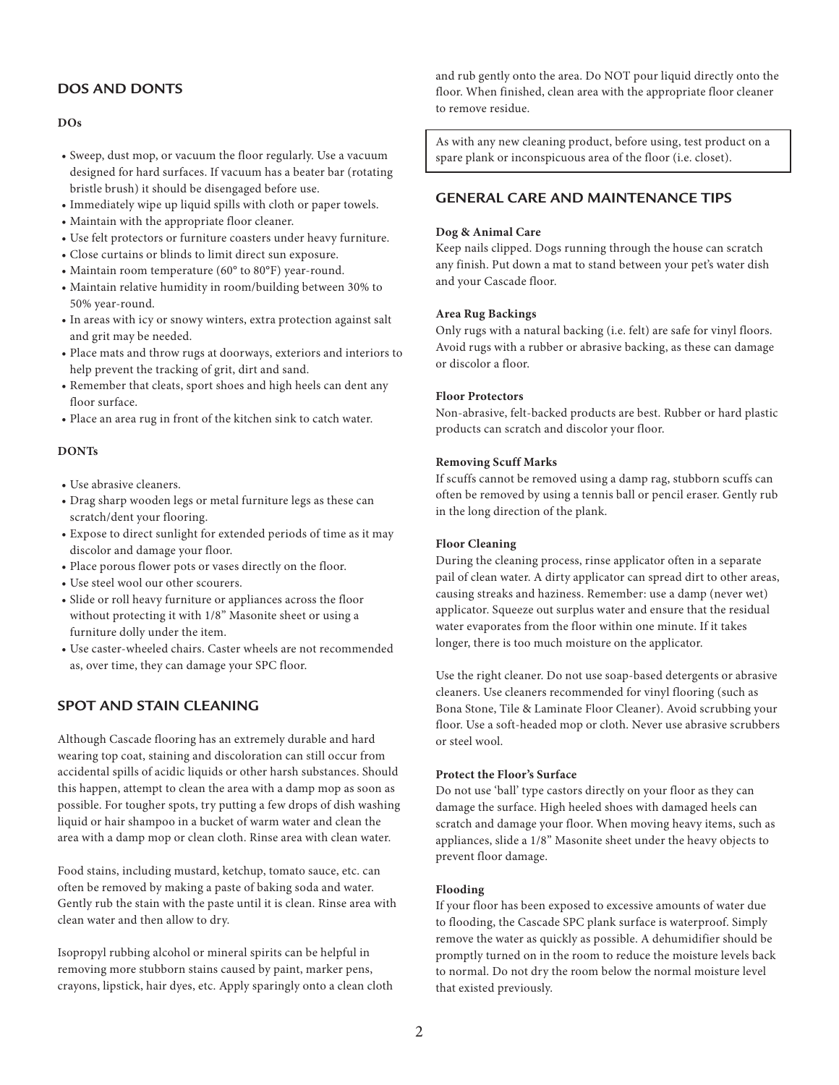# **DOS AND DONTS**

### **DOs**

- Sweep, dust mop, or vacuum the floor regularly. Use a vacuum designed for hard surfaces. If vacuum has a beater bar (rotating bristle brush) it should be disengaged before use.
- Immediately wipe up liquid spills with cloth or paper towels.
- Maintain with the appropriate floor cleaner.
- Use felt protectors or furniture coasters under heavy furniture.
- Close curtains or blinds to limit direct sun exposure.
- Maintain room temperature (60° to 80°F) year-round.
- Maintain relative humidity in room/building between 30% to 50% year-round.
- In areas with icy or snowy winters, extra protection against salt and grit may be needed.
- Place mats and throw rugs at doorways, exteriors and interiors to help prevent the tracking of grit, dirt and sand.
- Remember that cleats, sport shoes and high heels can dent any floor surface.
- Place an area rug in front of the kitchen sink to catch water.

### **DONTs**

- Use abrasive cleaners.
- Drag sharp wooden legs or metal furniture legs as these can scratch/dent your flooring.
- Expose to direct sunlight for extended periods of time as it may discolor and damage your floor.
- Place porous flower pots or vases directly on the floor.
- Use steel wool our other scourers.
- Slide or roll heavy furniture or appliances across the floor without protecting it with 1/8" Masonite sheet or using a furniture dolly under the item.
- Use caster-wheeled chairs. Caster wheels are not recommended as, over time, they can damage your SPC floor.

# **SPOT AND STAIN CLEANING**

Although Cascade flooring has an extremely durable and hard wearing top coat, staining and discoloration can still occur from accidental spills of acidic liquids or other harsh substances. Should this happen, attempt to clean the area with a damp mop as soon as possible. For tougher spots, try putting a few drops of dish washing liquid or hair shampoo in a bucket of warm water and clean the area with a damp mop or clean cloth. Rinse area with clean water.

Food stains, including mustard, ketchup, tomato sauce, etc. can often be removed by making a paste of baking soda and water. Gently rub the stain with the paste until it is clean. Rinse area with clean water and then allow to dry.

Isopropyl rubbing alcohol or mineral spirits can be helpful in removing more stubborn stains caused by paint, marker pens, crayons, lipstick, hair dyes, etc. Apply sparingly onto a clean cloth and rub gently onto the area. Do NOT pour liquid directly onto the floor. When finished, clean area with the appropriate floor cleaner to remove residue.

As with any new cleaning product, before using, test product on a spare plank or inconspicuous area of the floor (i.e. closet).

# **GENERAL CARE AND MAINTENANCE TIPS**

### **Dog & Animal Care**

Keep nails clipped. Dogs running through the house can scratch any finish. Put down a mat to stand between your pet's water dish and your Cascade floor.

### **Area Rug Backings**

Only rugs with a natural backing (i.e. felt) are safe for vinyl floors. Avoid rugs with a rubber or abrasive backing, as these can damage or discolor a floor.

#### **Floor Protectors**

Non-abrasive, felt-backed products are best. Rubber or hard plastic products can scratch and discolor your floor.

#### **Removing Scuff Marks**

If scuffs cannot be removed using a damp rag, stubborn scuffs can often be removed by using a tennis ball or pencil eraser. Gently rub in the long direction of the plank.

#### **Floor Cleaning**

During the cleaning process, rinse applicator often in a separate pail of clean water. A dirty applicator can spread dirt to other areas, causing streaks and haziness. Remember: use a damp (never wet) applicator. Squeeze out surplus water and ensure that the residual water evaporates from the floor within one minute. If it takes longer, there is too much moisture on the applicator.

Use the right cleaner. Do not use soap-based detergents or abrasive cleaners. Use cleaners recommended for vinyl flooring (such as Bona Stone, Tile & Laminate Floor Cleaner). Avoid scrubbing your floor. Use a soft-headed mop or cloth. Never use abrasive scrubbers or steel wool.

### **Protect the Floor's Surface**

Do not use 'ball' type castors directly on your floor as they can damage the surface. High heeled shoes with damaged heels can scratch and damage your floor. When moving heavy items, such as appliances, slide a 1/8" Masonite sheet under the heavy objects to prevent floor damage.

#### **Flooding**

If your floor has been exposed to excessive amounts of water due to flooding, the Cascade SPC plank surface is waterproof. Simply remove the water as quickly as possible. A dehumidifier should be promptly turned on in the room to reduce the moisture levels back to normal. Do not dry the room below the normal moisture level that existed previously.